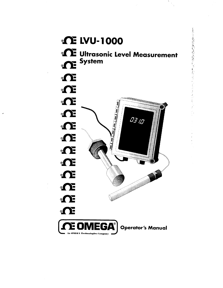

その反義の発行を受けるためについて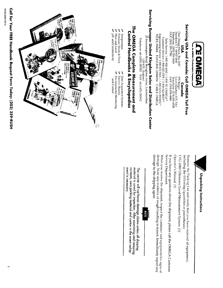Call for Your FREE Handbook Request Form Today: (203) 359-RUSH



### VSN

One Omega Drive, Box 4047<br>Stamford, CT 06907-0047 FAX: (203) 359-7700 Telephone: (203) 359-1660

**Servicing USA and Canada: Call OMEGA Toll Free**<br>
USA<br>
One Omega Drive, Box 4047<br>
Stamford, CT 06907-0047<br>
Europhone: (203) 359-1660<br>
Telephone: (203) 359-1660<br>
Telephone: (203) 359-1660<br>
Telephone: (203) 359-1660<br>
Telepho  $\mathbb{R}^m$  and verify that  $\mathbb{R}^m$  that you have received aim  $\mathbb{R}^m$  $\mathbb{S}$ including the following  $\mathbb{S}$  in parentheses):  $\mathbb{S}$  $\mathbb{E} \left[ \begin{array}{ccc} 0 & \mathbb{E} \ \mathbf{E} & \mathbb{E} \ \mathbf{E} & \mathbb{E} \end{array} \right]$ 

# Servicing Europe: United Kingdom Sales and Distribution Center

25 Swannington Road, Broughton Astley, Leicestershire<br>LE9 6TU, England<br>Telephone: 44 (1455) 285520 FAX: 44 (1455) 283912

## The OMEGA Complete Measurement and **Control Handbooks & Encyclopedias**

- Z Iemperature
- **L** Pressure, Strain & Force<br>  $\mu$  Flow and Level<br>  $\mu$  pH and Conductivity
	- $\triangleright$  Data Acquisition Systems<br>  $\triangleright$  Electric Heaters<br>  $\triangleright$  Environmental Monitoring
- and Control





Remove the Packing List and verify that you have received all equipment,<br>including the following (quantities in parentheses):<br> $LVU-1000$  Ultrasonic Level Measurement System (1)<br> $Q$ perator's Manual (1)<br> $Q$ erator's Manual (1

damage to the shipping agent. damage. Note any evidence of rough handling in transit. Immediately report any damage. Note any evidence of rough handling in transit. Immediately report any When you receive the shipment, inspect the container and equipment for signs of  $A$ 



contents, save packing material and carton in the event reship. material is saved for inspection. After examining and removing ment is necessary. The carrier will not honor damage claims unless all shipping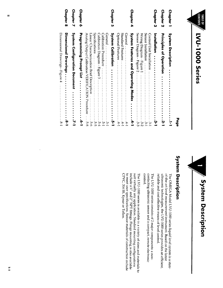|   | ABLE OF<br>i  |
|---|---------------|
|   |               |
| Ç |               |
|   |               |
|   |               |
|   |               |
|   |               |
|   |               |
|   |               |
|   |               |
|   |               |
|   |               |
|   |               |
|   |               |
|   |               |
|   |               |
|   |               |
|   | <u>ပ</u><br>၈ |
|   |               |
|   |               |

| <b>LVU-1000 Series</b>                                                                                                                                                                                                                                                         |
|--------------------------------------------------------------------------------------------------------------------------------------------------------------------------------------------------------------------------------------------------------------------------------|
|                                                                                                                                                                                                                                                                                |
| Page                                                                                                                                                                                                                                                                           |
| $\bullet$<br>$\bullet$<br>$\bullet$<br>$\bullet$<br>$\bullet$<br>$\frac{1}{2}$                                                                                                                                                                                                 |
| Principles of Operation .<br>$\bullet$<br>$\bullet$<br>$\bullet$<br>i<br>-<br>-                                                                                                                                                                                                |
| $\bullet$<br>$\ddot{\cdot}$<br>$\bullet$<br>$\bullet$<br>$\bullet$<br>٠<br>نه<br>د                                                                                                                                                                                             |
| Sensor Diagram - Figure 2<br>Wiring Diagram - Figure 1<br>Control Unit Installation<br>$\blacksquare$<br>$\vdots$<br>$\ddot{\cdot}$<br>$\ddot{\cdot}$<br>$\vdots$<br>.<br>نبا<br>دن<br>ما<br>ىن<br>1<br>$\frac{\omega}{\Gamma}$<br>N                                           |
| <b>System Features and Operating Modes</b><br>4-l                                                                                                                                                                                                                              |
| Standard Features<br><b>+++++++++++++++++++</b><br>.<br>$\ddot{t}$<br>$\ddot{+}$<br>$\ddot{+}$                                                                                                                                                                                 |
| $\ddot{\cdot}$<br>$\bullet$<br>უ<br>-                                                                                                                                                                                                                                          |
| Calibration Diagram - Figure 3<br>Linear Characterization Brief Description<br>Analog Output Calibration VERIFICATION Procedure<br>$-2$ , $-2$ , $-2$ , $-2$ , $-2$ , $-2$<br>.<br>$\vdots$<br>$\bullet$<br>.<br>տ<br>Ļй<br>$\frac{5}{4}$<br>in<br>∞<br>ښ<br>ن<br>م            |
| Programming Prompt List<br>$\ddot{\cdot}$<br>$\bullet$<br>$\bullet$<br>$\ddot{\phantom{0}}$<br>$\ddot{\phantom{0}}$<br>$\bullet$<br>$\bullet$<br>$\bullet$<br>$\bullet$<br>ċ-1                                                                                                 |
| <b>System Configuration Document</b><br>$\bullet$<br>$\bullet$<br>$\bullet$<br>$\bullet$<br>$\bullet$<br>$\bullet$<br>$\bullet$<br>$\bullet$<br>$\bullet$<br>$\bullet$<br>$\bullet$<br>$\mathbf{r}$                                                                            |
| Dimensional Drawings - Figure 4<br>Dimensional Drawings<br>$\ddot{\cdot}$<br>$\ddot{\cdot}$<br>$\bullet$<br>$\bullet$<br>$\bullet$<br>$\bullet$<br>$\bullet$<br>$\bullet$<br>$\bullet$<br>$\bullet$<br>$\bullet$<br>$\bullet$<br>$\bullet$<br>i<br>-<br>L<br>$\overline{3}$ -1 |
|                                                                                                                                                                                                                                                                                |



reliable and cost effective means of level control.

## $\mathbf{w}$

of-the-art level measurement instrument. Based on the latest reliable and cost effective means of level control. ultrasonic technologies, the LVU-1000 series provides an efficient, The OMEGA Model LVU-1000 series liquid level system is a state-

contacting ultrasonic sensor and a compact, remote electronic control The LVU-1000 series consists of  $2$  major components: a non-

suit virtually any application. Standard mounting configurations include a  $\frac{w'}{w}$  and  $2''$  NPT fittings. Flange mounting is also available The LVU-1000 series is available in a variety of sizes and materials to System Calibration .................... . ..5- 1  $\cup$  $\overline{5}$  $5^{\circ}$  $.5,$  Kyn  $\overline{p}$  $\mathbb{E}$ .  $\overline{P}$ 

Sensor Diagram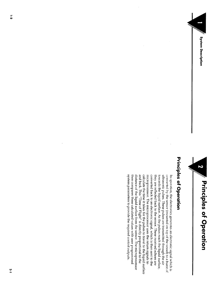

:\$.::.. .::F **7**..::;..::F s Principles of Operation ..::r. .:::. **.::::**



In operation, the electronics generates an electronic signal which is converted by the sensor (mounted on top of the vessel) to a burst of

 $\mathbf{u} = \mathbf{u}$  pulses are transmitted through the air transmitted through the air transmitted through the air transmitted through the air transmitted through the air transmitted through the air transmitted through the ai towards the liquid surface. As the pulses reach the liquid surface, they are reflected back to the sensor. These received echoes are

 $t_{\rm max}$  compares the calculated values with user programmed values  $\alpha$ 

Principles of Operation

system parameters to provide the required control outputs. distance of the liquid surface from the sensor. The microprocessor then compares these calculated values with user programmed and back. This "Time of Flight" is directly proportional to the calculate the time it takes for the pulses to travel to the liquid surface microprocessor. The microprocessor uses the return signals to converted back to an electronic signal, which is then sent to the they are reflected back to the sensor. These received echoes are towards the liquid surface. As the pulses reach the liquid surface, ultrasonic pulses. These pulses are transmitted through the air converted by the sensor (mounted on top of the vessel) to a burst of In operation, the electronics generates an electronic signal which is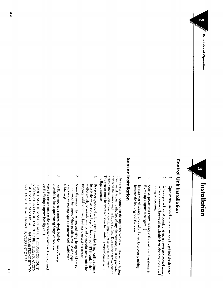Principles of Operation

Unit I ns t a ll a titulation

wiring procedures.

1. Open control unit enclosure and remove the printed circuit board. 2. Replace printed circuit board, and route power and control wiring to the enclosure. Observe all applicable local electrical codes and



tightening!

3 . For flange mounted sensors, simply bolt the sensor/flange assembly to the proper mating flange connection.

per the Wiring diagram (see figure 1).

 $4.4.$  Route the sensor cable to the electronic control unit and control unit and connection  $\mathcal{A}$ 

IF ROUTING THE SENSOR CABLE THROUGH CONDUIT, A DEDICATED CONDUIT SHOULD BE UTILIZED. AVOID ROUTING THE SENSOR CABLE IN CLOSE PROXIMITY TO ANY SOURCE OF ALTERNATING CURRENT OR RFI.

## Senso r

- 
- $\mathcal{L}$ wiring procedures.
- ىب the wiring diagram (see tigure 1). Connect power and control wiring to the control unit as shown in<br>the wising the second control wiring
- 4. Be sure that all wiring is carefully dressed to prevent pinching between the housing and the cover.

## Sensor Installation

the liquid surface. beam pattern, vertical-axis positioning of the sensor is important. between the sensor and the liquid surface. Due to the narrow sensor downward. A clear path, free of any obstructions, must be provided The sensor must be installed so as to maintain perpendicularity to the sensor must be installed so as to maintain perpendicularity to  $-2$   $-2$ 

- tapping, weld or braze a bushing to accept the sensor. walled vessels, or vessels constructed of material not suitable for hole in the vessel top and tap for the correct NPT thread. In thin For sensors provided with an NPT threaded fitting, drill a suitable
- Ņ compound or sealing tape is recommended. Avoid over cross thread the sensor. When possible, the use of a pipe Screw the sensor into the threaded fitting, being careful not to tightening!
- یب assembly to the proper mating flange connection. For flange mounted sensors, simply bolt the sensor/flange
- $\overline{4}$ per the Wiring diagram (see figure 1). Route the sensor cable to the electronic control unit and connect<br>Route

A DEDICATED CONDUIT SHOULD BE UTILIZED. AVOID ANY SOURCE OF ALTERNATING CURRENT OR RFI. ROUTING THE SENSOR CABLE IN CLOSE PROXIMITY TO IF ROUTING THE SENSOR CABLE THROUGH CONDUIT,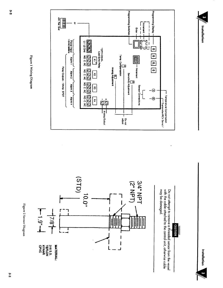Figure 2 Sensor Diagram





Do not<br>adjust

 $\mathbf i$ 





CAUTION

Installation

Installation

Figure 1 Wiring Diagram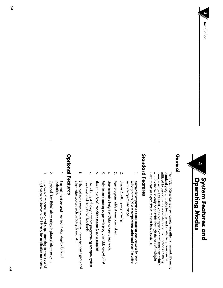

### General

standard programmable features and available options can be cases, a single LVU-1000 can accomplish control functions which utilized to perform a wide variety of control functions. In many instruments or expensive computer based systems. would otherwise only be possible through the use of multiple The LVU-1000 series is an extremely versatile instrument. It's many

## **Standard Features**

- Automatic temperature compensation compensates for sound velocity errors (due to temperature variations) over the entire sensor temperature range.
- $\mathbf{\dot{z}}$ Simple 2 button programming
- Four programmable Alarm point relays.

 $\omega$ 

- $\blacktriangle$ User selectable Height or Distance operating mode.
- $\overline{a}$ Fully isolated analog output with programmable output offset.
- $\sim$ Three "Lost Echo" condition modes (user selectable)
- $\overline{\mathbf{N}}$ Internal 4-digit display provides programming prompts, system<br>heartbeat, and "Lost Echo" feedback.
- $\infty$ Enhanced noise rejection algorithm ignores spurious signals and other noise sources such as 60 cycle and RFI.

## **Optional Features**

- External (front covered mounted) 4 digit display for local indication.
- Optional "Lost Echo" alarm relay, in place of alarm relay 1.

 $\mathcal{P}$ 

ىب application requirements. Call factory for application assistance Customized response times and output damping to meet special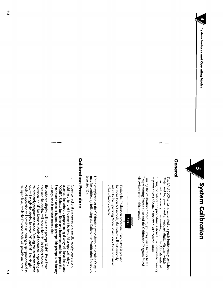



### General

during the calibration procedure is stored in a nonvolatile memory to prevent loss of data in the event of a power failure. provides the necessary programming prompts. All data entered (Enter and Increment) and an onboard digital display, which The LVU-1000 series is calibrated via push-button entry switches

elsewhere within this manual. Programming Prompt List and the Calibration Diagram found During the calibration procedure, you may wish to refer to the



return to the Operating Mode, saving only those parameter During the Calibration procedure, if no button is pressed values already entered for more than 60 seconds, the system will automatically

(see step 11). may be verified by following the Calibration Verification Procedure Upon completion of the Calibration procedure, the Analog Output

## **Calibration Procedure**

- use only, and is not user accessible) Enter button once to bypass this prompt (this prompt is for factory seconds, the onboard programming display will issue the prompt hold the Enter and Increment buttons. After approximately 3 Open control unit enclosures and simultaneously depress and "COdE". Release both Enter and Increment and then press the
- now will toggle the display between "H" and "d". The Height once and the display will read either "H" for Height Mode of<br>operation, or "d" for Distance Mode of operation, depending on the liquid level, while the Distance Mode will provide an inverse Mode ot operation will provide an analog output proportional to the previously programmed mode. Pressing the Increment button The onboard display will issue the prompt "SLdH". Press Enter

 $\mathbf{v}$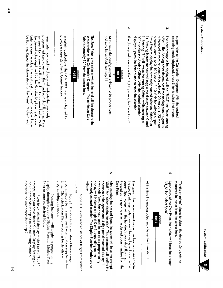**System Calibration** 

 $S$  select  $S$  for  $S$  select  $S$ 

measured in inches from the sensor face.

Linear Characterization Display Scaling for details on System Calibration Pressing Increment will toggle the programming display through the above  $\mathcal{L}$ Enter to store the desired Mode.  $\frac{1}{2}$ prompt, then you have chosen Custom Display Scaling and the unit proceeds to step 6a in the following manner,  $\mathbf{r}$ otherwise the unit proceeds to step 7.

Mode 0: Display reads distance of target from sensor

Mode 1: Display indicates value of linear range

The Span is the measurement range in inches as measured from the Zero Point. Press Enter now and the display will indicate the current Span value, with the hundreds place digit flashing. Proceed as in step 4 to enter the desired Span in inches from the

"Tenths of inches" places to obtain the desired Zero point as

6. After entering the desired Span, the system will issue the prompt

operating mode displayed, press Enter to select that mode  $\sim$  Upon entry of the  $\sim$  Point, the display will issue the prompt of the prompt of the prompt of the prompt of the prompt of the prompt of the prompt of the prompt of the prompt of the prompt of the prompt of the promp

- یب a current output, or 0-10 V dc vs. 2-10 V dc for voltage output). offset". The Analog offset determines if the analog output signal is Press Enter to display the previously entered selection (either 0 or referenced to zero or some offset value (0-20 ma vs. 4-20 ma for displayed, press the Enter button to store the selection. "O" disables the Analog Offset. With the desired selection 1. Entering "1" will invoke the Analog Offset, while entering a 1). Pressing Increment now will toggle the display between 0 and The next prompt to be displayed will be "SLOS" for "select analog
- $\overline{4}$

**NOTE** 

and may be verified, see step 11.

Point is normally 12" from the sensor tace.

NOTE

provide a closer Zero Point. Consult lactory

/' System Calibration रक्षप्री संस्कृति प्रव operation models models with models  $\mathcal{P}^{\text{max}}_{\text{max}}$  . In the selection of  $\mathcal{P}^{\text{max}}_{\text{max}}$  , and  $\frac{1}{2}$  and  $\frac{1}{2}$  for  $\frac{1}{2}$  for  $\frac{1}{2}$  for  $\frac{1}{2}$  for  $\frac{1}{2}$  for  $\frac{1}{2}$  for  $\frac{1}{2}$ of the Analog offset determines in the analog of the analog output signal is the analog output signal is  $\alpha$ 

> measured in inches from the sensor tace  $\mathbf{s}$  for  $\mathbf{s}$  for  $\mathbf{s}$  for  $\mathbf{s}$  function  $\mathbf{s}$ "Tenths of inches" places to obtain the desired Zero point as operation of the operational provided). Press Enter now, and the on board programming display will indicate a display will indicate a digital  $\alpha$ previously entered selection. The Display Function Modes are as programmable by the user. See the calibration

Upon entry of the Zero Point, the display will issue the prompt "SL\_S" for "select Span".

ò,



At this time the analog output may be verified, see step 11.

the Zero Point. Press Enter now and the display will indicate the The Span is the measurement range in inches as measured trom

 $\circ$ tollows: The Zero Point is the point at which the level will be closest to the  $\beta$  . The calibration  $\beta$  is the calibration of  $\alpha$  in  $\alpha$  in  $\alpha$  is the minimum  $\alpha$  $\sharp$  and  $\Xi$  order to the configured to  $\Xi$  $\Phi$  Press Enter and the press Enterpret indicate the press Enterpret indicate the previously  $\Phi$ programmed  $\vec{r}$  and  $\vec{r}$  and  $\vec{r}$  is  $\vec{r}$  from  $\vec{r}$  and  $\vec{r}$  is  $\vec{r}$  and  $\vec{r}$  from  $\vec{r}$  and  $\vec{r}$  and  $\vec{r}$  and  $\vec{r}$  and  $\vec{r}$  and  $\vec{r}$  and  $\vec{r}$  and  $\vec{r}$  and  $\vec{r}$  and  $\vec{r}$  $\tilde{\tau}$  increment to increment the flag digital digital to its desired value. We can also the flag digital digital digital digital digital digital digital digital digital digital digital digital digital digital digital d  $\frac{1}{2}$ the displayed for the  $\frac{1}{2}$  place displayed  $\frac{1}{2}$  place displayed  $\frac{1}{2}$ ( the 'Tens" place) will now  $\begin{array}{ccc} \mathbb{R} & \mathbb{R} \mathbb{R} & \mathbb{R} \mathbb{R} \ \mathbb{R} & \mathbb{R} \end{array}$ 

provide a close a close a close a close a close a close a close a close a close a close a close a close a clos Enter to store the value. The next digit in inches.<br>
Mode 1: Display indicates value of linear range<br>
programmable by the user. See the calibration supplement-<br>
Linear Characterization Display Scaling for details on<br>
programming this mode.<br>
Tressing Increment wil  $\sigma$  is not in the sensor face. The sensor face  $\sigma$ Mode 1: Display indicates value of linear range<br>inanable by the user. See the calibration supplement-<br>haracterization Display Scaling for details on<br>ming this mode.<br>Tressing Increment will toggle the programming<br>through t

otherwise the unit proceeds to step 7. the unit proceeds to step 6a in the following manner,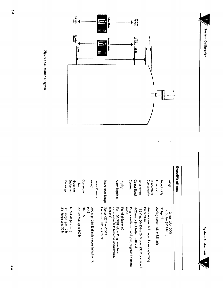**System Calibration** 





| Mountings:                                           | Electronics<br>Enclosures: | <b>Cable:</b>             | <b>Construction:</b> | <b>Rahng:</b>                                             | Sensor Pressure | Temperature Range:                                    | Alam Sepoints:                                                                                      | Display:              | Controls:                                               | Output Signal:                     | Input Power:                                     |             | Temperature<br>Compensation:                  | Accuracy:                        | Repeatability: | Range:                                           | Specifications |  |
|------------------------------------------------------|----------------------------|---------------------------|----------------------|-----------------------------------------------------------|-----------------|-------------------------------------------------------|-----------------------------------------------------------------------------------------------------|-----------------------|---------------------------------------------------------|------------------------------------|--------------------------------------------------|-------------|-----------------------------------------------|----------------------------------|----------------|--------------------------------------------------|----------------|--|
| $\%$ : (Range up to 12 H)<br>2": (Range up to 30 ff) | NEMA-4X (standard)         | 20" Std-Max up to 100 ft. | 3165.5.              | leig)<br>250 psig - 316 SS (Plastic models limited to 150 |                 | Sensor -22°F to +200°F<br>Electronics -10°F to +160°F | (optional)<br>increments of 0.1" Lost echo indicator/relay<br>Four 10A SPDT relays. Programmable in | Four digit (optional) | mode<br>Programmable zero and span, height and distance | 4-20 ma dc (isolated) or 0-10 V dc | 115 V ac, 50/60 Hz, 24 V dc or 230 V ac optional | temperature | Automatic over full range of sensor operating | Analog output—1/28 of full scale | K" typical     | 1 to 30 feet (LVU-1010)<br>$-12$ feet (IVU-1000) |                |  |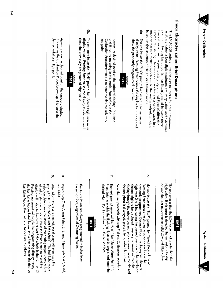



Alarm Points are always programmed in inches from

Press Enter to enable the flashing digits as in step 4 and enter the

decimal digits to be displayed. Pressing Increment will step the display through the above decimal place values. Once the desired decimal place is displayed, press Enter to select that value. Now the unit proceeds with step 7 of this Calibration Procedure.

6a and the user must re-enter valid LOW and Hlgh values. Hlgh value. If this error is detected the unit returns to step

the sensor face, regardless of Operating Mode.

desired Alarm Point **in inches from the sensor face.**

SLA4).

7. The next prompt issue

The unit checks that the

## Linear Characterization Brief Description:

based on the selection of Height or Distance mode. manner that is directly proportional to the analog output, which is arbitrary value, a four digit maximum arbitrary value, and a decimal Procedure - step 5). The display always increases or decreases in a two values across the previously programmed Span (Calibration position. The display output is then linearly scaled between these The LVU-1000 series allows the user to enter a four digit minimum

ò. The unit issues the "SLLO" prompt for "select LOw" minimum display value. Pressing Enter causes the display to advance and show the previously programmed Low value.



and it has no meaning in this mode. Proceed as in the low point. The LVU-1000 series allows the user to enter a four digit minimum arbitrary value, and a four digital matrix  $\mathbb{R}$  arbitrary value, and a decimal value, and a decimal value, and a decimal value of  $\mathbb{R}$ 

ę. show the previously programmed HIgh value. linear Characterization Brief Description Brief Description Brief Description Brief Description: Ne position. The display output is **then linearly scaled between these two** values across the previously programmed Span (Calibration



desired arbitrary Hlgh point. System Calibration

9. After

6a and the user must re-enter valid LOw and HIgh values. Hlgh value. If this error is detected the unit returns to step The unit checks that the LOw value is not greater than the

óc. decimal digits to be displayed. Pressing Increment will step the digit from 0 to 3 indicating the desired precision or the number of Pressing Enter causes the display to advance and show the The unit issues the "SLdP" prompt for "Select Decimal Place" previously programmed Decimal Place. The display will show a

Now the unit proceeds with step 7 of this Calibration Procedure.<br>The next prompt issue will be "SLA1" for "Select Alarm Point 1".<br>Press Enter to enable the flashing digits as in step 4 and enter the<br>desired Alarm Point in and it has no meaning in this mode. Proceed as in the

onboard display-it is fixed



Ignore the decimal point on the

Calibration Procedurestep 4 to enter the desired arbitrary The Alarm Points are always programmed in inches from<br>the sensor face, regardless of Operating Mode.<br>He sensor face, regardless of Operating Mode.<br>Repeat step 7 for Alarm Points 2, 3, and 4 (prompts SLA2, SLA3)<br>and SLA4). Lost Echo Mode: The Lost Echo Modes are as follows: 오윤모 1  $\mathbb{F}_0^2$  is the unit of  $\mathbb{F}_0$  is the  $\mathbb{F}_0$  prompt for  $\mathbb{F}_0$  is  $\mathbb{F}_0$  is the  $\mathbb{F}_0$  $d\alpha = \frac{1}{2} \left( \begin{array}{ccc} \alpha & \alpha & \beta & \gamma \\ \alpha & \alpha & \alpha & \gamma \end{array} \right) \qquad \alpha = \frac{1}{2} \left( \begin{array}{ccc} \alpha & \alpha & \alpha & \gamma \\ \alpha & \alpha & \alpha & \gamma \end{array} \right)$ show the previously programmed Hlgh value. Proceed as the Calibration Procedure-step 4 to enter the  $\lim_{n\to\infty}$   $\mathbb{Z}$   $\mathbb{Z}$   $\mathbb{Z}$  point.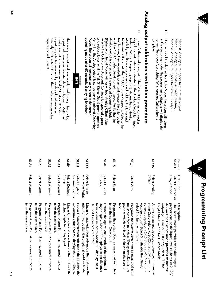Mode 0: Analog output goes to minimum output.<br>Mode 1: Analog output holds last valid reading. Select Distance or Mode 2: Analog output goes to maximum output. last valid readi<br>o maximum ou<br>:he **Mode, the s**<br>rromming displo  $\begin{array}{ccc} \mathbf{B} & \mathbf{B} & \mathbf{B} \ \mathbf{B} & \mathbf{B} & \mathbf{B} \end{array}$ 

 $\overline{Q}$ complete. **Prompt**  $\Xi$ 

## Analog output calibration verification procedure

 $\Xi$ Mode by simulianeously pressing and holding the Enter and Increment buttons, until the "COdE" prompt appearrs. Release the two buttons, then repeatedly press and release the Enter button will the "SL\_0" (Select Zero) prom Analog output is correct per the selected Operating Mode (refer to Wiring Diagram, page 3-3). Access the Calibration digital current meter or voltmeter to the Analog Output terminals To verify the analog output of the LVU-1000 series, connect a  $\overline{a}$  , with the desired Lost Equator  $\overline{a}$   $\overline{a}$   $\overline{a}$   $\overline{a}$   $\overline{c}$   $\overline{a}$  ,  $\overline{a}$ 

### NOTE

requires no adjustment.  $\left| \begin{array}{c} \Xi \; \bar{\mathbb{g}} \prec \leq \bar{\mathbb{g}} \end{array} \right|$   $\left| \begin{array}{c} \pm \bar{\mathbb{g}} \; \mathbb{g} \; \bar{\mathbb{g}} \end{array} \right|$  $\frac{1}{2}$  ਨਿਲ ਇੰਸਤੈਂ ਵਿੱਚ ਪ੍ਰਬੰਧ ਵਿੱਚ ਪ੍ਰਬੰਧ ਵਿੱਚ ਪ੍ਰਬੰਧ ਵਿੱਚ ਪ੍ਰਬੰਧ ਵਿੱਚ ਪ੍ਰਬੰਧ ਵਿੱਚ ਪ੍ਰਬੰਧ ਵਿੱਚ ਪ੍ਰਬੰਧ ਵਿੱਚ ਪ੍ਰਬੰਧ ਵਿੱਚ  $\frac{1}{2}$   $\frac{1}{2}$   $\frac{1}{2}$   $\frac{1}{2}$   $\frac{1}{2}$   $\frac{1}{2}$   $\frac{1}{2}$   $\frac{1}{2}$   $\frac{1}{2}$   $\frac{1}{2}$   $\frac{1}{2}$   $\frac{1}{2}$   $\frac{1}{2}$   $\frac{1}{2}$   $\frac{1}{2}$   $\frac{1}{2}$   $\frac{1}{2}$   $\frac{1}{2}$   $\frac{1}{2}$   $\frac{1}{2}$   $\frac{1}{2}$   $\frac{1}{2}$ 

### $\bullet$ face. Programs the system Span as measured in inches from the system Zero point. Programming Prompt List Defines the operational mode of the optional 4  $\overline{y}$  displays target distance from sensor in inches. Mode "1" displays user defined Linear scaled output.  $\mathbf{L}$ minimum value that the display should indicate. Linear Characterization sub-mode that defines the maximum value that the display should indicate. Linear Characterization sub-mode that defines the decimal digits to be displayed. Programs Alarm Point 1 as measured in inches Programs Alarm Point 2 as measured in inches  $\frac{1}{2}$ Programs Alarm Point 3 as measured in inches from the sensor face. Programs Alarm Point 4 as measured in inches

| <b>IHTS</b><br>OTIS<br><b>PV7S</b><br>SLA2<br>LAJ<br>SLdP<br><b>SLA3</b><br><b>SLdF</b><br>ρĹ.<br>$0 - 15$<br>່ທ່<br>Select Low<br>Select Alarm 2<br>Select Alarm 1<br>Select Decimal<br>Select High or<br>Select Alarm 4<br>Select Alarm 3<br>Points<br>Maximum Value<br>Minimum Value<br>Select Span<br>Select Zero<br>Function<br>Select Display<br>្ម<br>decimal digits to be displayed.<br>maximum value that the display should indicate<br>from the sensor face.<br>Programs Alarm Point 1 as measured in inches<br>Linear Characterization sub-mode that defines the<br>minimum value that the display should indicate.<br>Linear Characterization sub-mode that defines the<br>defined Linear scaled output.<br>select 1 to invoke the Offset.<br>from the sensor face<br>Programs Alarm Point 2 as measured in inches<br>Linear Characterization sub-mode that defines the<br>digit display. Mode "0" displays target distance<br>from sensor in inches. Mode "1" displays user<br>the sensor face in inches. The system Zero is the<br>from the sensor face.<br>from the sensor face<br>Defines the operational mode of the optional 4<br>from the system Zero point.<br>Programs the system Zero point as measured from<br>voltage output). Select 0 to disable the Offset;<br>Programs Alarm Point 4 as measured in inches<br>Programs Alarm Point 3 as measured in inches<br>Programs the system Span as measured in inches<br>face<br>point at xhich the level is closest to the sensor |
|--------------------------------------------------------------------------------------------------------------------------------------------------------------------------------------------------------------------------------------------------------------------------------------------------------------------------------------------------------------------------------------------------------------------------------------------------------------------------------------------------------------------------------------------------------------------------------------------------------------------------------------------------------------------------------------------------------------------------------------------------------------------------------------------------------------------------------------------------------------------------------------------------------------------------------------------------------------------------------------------------------------------------------------------------------------------------------------------------------------------------------------------------------------------------------------------------------------------------------------------------------------------------------------------------------------------------------------------------------------------------------------------------------------------------------------------------------------------------------------------------------|
|                                                                                                                                                                                                                                                                                                                                                                                                                                                                                                                                                                                                                                                                                                                                                                                                                                                                                                                                                                                                                                                                                                                                                                                                                                                                                                                                                                                                                                                                                                        |
|                                                                                                                                                                                                                                                                                                                                                                                                                                                                                                                                                                                                                                                                                                                                                                                                                                                                                                                                                                                                                                                                                                                                                                                                                                                                                                                                                                                                                                                                                                        |
|                                                                                                                                                                                                                                                                                                                                                                                                                                                                                                                                                                                                                                                                                                                                                                                                                                                                                                                                                                                                                                                                                                                                                                                                                                                                                                                                                                                                                                                                                                        |
|                                                                                                                                                                                                                                                                                                                                                                                                                                                                                                                                                                                                                                                                                                                                                                                                                                                                                                                                                                                                                                                                                                                                                                                                                                                                                                                                                                                                                                                                                                        |
|                                                                                                                                                                                                                                                                                                                                                                                                                                                                                                                                                                                                                                                                                                                                                                                                                                                                                                                                                                                                                                                                                                                                                                                                                                                                                                                                                                                                                                                                                                        |
|                                                                                                                                                                                                                                                                                                                                                                                                                                                                                                                                                                                                                                                                                                                                                                                                                                                                                                                                                                                                                                                                                                                                                                                                                                                                                                                                                                                                                                                                                                        |
|                                                                                                                                                                                                                                                                                                                                                                                                                                                                                                                                                                                                                                                                                                                                                                                                                                                                                                                                                                                                                                                                                                                                                                                                                                                                                                                                                                                                                                                                                                        |
|                                                                                                                                                                                                                                                                                                                                                                                                                                                                                                                                                                                                                                                                                                                                                                                                                                                                                                                                                                                                                                                                                                                                                                                                                                                                                                                                                                                                                                                                                                        |
|                                                                                                                                                                                                                                                                                                                                                                                                                                                                                                                                                                                                                                                                                                                                                                                                                                                                                                                                                                                                                                                                                                                                                                                                                                                                                                                                                                                                                                                                                                        |
|                                                                                                                                                                                                                                                                                                                                                                                                                                                                                                                                                                                                                                                                                                                                                                                                                                                                                                                                                                                                                                                                                                                                                                                                                                                                                                                                                                                                                                                                                                        |
| <b>SOTS</b><br>Select Analog<br>Offset<br>current output, or a 2-10 V dc vs 0-10 V dc for a<br>some Offset reference (4-<br>Allows for an analog output referenced to Zero or<br>$20 \text{ ms}$ vs $0$<br>20 ma for a                                                                                                                                                                                                                                                                                                                                                                                                                                                                                                                                                                                                                                                                                                                                                                                                                                                                                                                                                                                                                                                                                                                                                                                                                                                                                 |
| Prompt<br><b>HPTS</b><br>Height Mode<br>Definition<br>Select Distance or<br>dc), and the Distance mode provides an inverse<br>The Height mode provides an analog output<br>Description<br>output (20-4 ma or 10-0 V dc). Select "H" for<br>proportional to the liquid level (4–20 ma or 0<br>Height Mode or "d" for Distance Mode<br>$\dot{a}$<br><                                                                                                                                                                                                                                                                                                                                                                                                                                                                                                                                                                                                                                                                                                                                                                                                                                                                                                                                                                                                                                                                                                                                                    |
|                                                                                                                                                                                                                                                                                                                                                                                                                                                                                                                                                                                                                                                                                                                                                                                                                                                                                                                                                                                                                                                                                                                                                                                                                                                                                                                                                                                                                                                                                                        |
| ¢<br>Programming Prompt List                                                                                                                                                                                                                                                                                                                                                                                                                                                                                                                                                                                                                                                                                                                                                                                                                                                                                                                                                                                                                                                                                                                                                                                                                                                                                                                                                                                                                                                                           |
|                                                                                                                                                                                                                                                                                                                                                                                                                                                                                                                                                                                                                                                                                                                                                                                                                                                                                                                                                                                                                                                                                                                                                                                                                                                                                                                                                                                                                                                                                                        |
|                                                                                                                                                                                                                                                                                                                                                                                                                                                                                                                                                                                                                                                                                                                                                                                                                                                                                                                                                                                                                                                                                                                                                                                                                                                                                                                                                                                                                                                                                                        |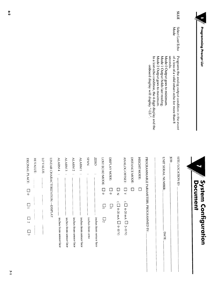

Document

System Configuration

**SLLE** Select Lost Echo<br>Mode Programs the analog output condition in the event<br>of a loss of a valid return echo for more than 8<br>seconds.<br>Mode 0 Output goes to minimum.<br>Mode 1 Output holds last reading.<br>Mode 2 Output goes to maximum. In a lost echo condition, the 4 digit display and the<br>orboard display will display "-LE-".  $\infty$  . Only and  $\infty$  . The series of  $\infty$  . The series of  $\infty$  is the series of  $\infty$  .

|                                            | Document                 |                   | <b>System Configuration</b>          |
|--------------------------------------------|--------------------------|-------------------|--------------------------------------|
|                                            |                          |                   |                                      |
| SITE/LOCATION ID:                          |                          |                   |                                      |
| <b>JOB:</b>                                |                          |                   |                                      |
| UNIT SERIAL NUMBER:                        |                          |                   | <b>DATE</b>                          |
| PROGRAMMABLE PARAMETERS, PROGRAMMED BY:    |                          |                   |                                      |
| <b>HEIGHT MODE:</b>                        | $\Box$                   |                   |                                      |
| DISTANCE MODE:                             | Г                        |                   |                                      |
| <b>ANALOG OFFSET:</b>                      | $\Box$                   |                   | $(\Box$ 4-20 mA $\Box$ 2-10 V)       |
|                                            | $\Box$                   |                   | (V 01-0 D A $\Box$ o-10 V)           |
| DISPLAY MODE:                              | $\overline{\phantom{a}}$ | 므                 |                                      |
| LOST ECHO MODE:                            | $\Box$                   | 므                 | $\Box$ 2                             |
| <b>ZERO</b><br>$\ddot{\phantom{0}}$        |                          |                   | inches from sensor face              |
| <b>SPAN</b><br>$\ddot{\phantom{0}}$        |                          |                   | inches from zero                     |
| <b>ALARM1</b><br>$\cdot$ .                 |                          |                   | inches from sensor face              |
| <b>ALARM<sub>2</sub></b><br>$\epsilon$ .   |                          |                   | inches from sensor face              |
| ALARM <sub>3</sub><br>$\epsilon$ .         |                          |                   | inches from sensor face              |
| ALARM <sub>4</sub><br>$\ddot{\phantom{0}}$ |                          |                   | inches from sensor face              |
| LINEAR CHARACTERIZATION -- DISPLAY         |                          |                   |                                      |
| LO VALUE:                                  |                          |                   |                                      |
| HIVALUE:                                   |                          |                   |                                      |
| DECIMAL PLACE:                             | $\Box$                   | $\boxed{\square}$ | $\Box$<br>$\overline{a}$<br>$\Box$ 3 |